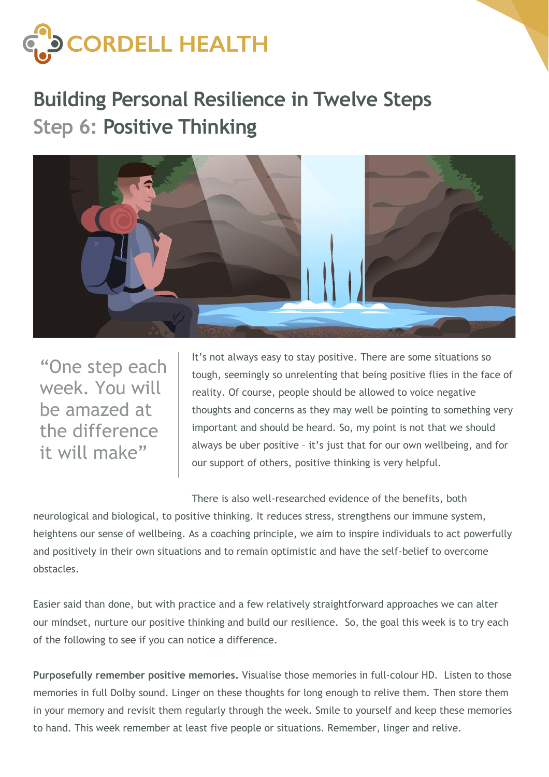

## **Building Personal Resilience in Twelve Steps Step 6: Positive Thinking**



"One step each week. You will be amazed at the difference it will make"

It's not always easy to stay positive. There are some situations so tough, seemingly so unrelenting that being positive flies in the face of reality. Of course, people should be allowed to voice negative thoughts and concerns as they may well be pointing to something very important and should be heard. So, my point is not that we should always be uber positive – it's just that for our own wellbeing, and for our support of others, positive thinking is very helpful.

There is also well-researched evidence of the benefits, both

neurological and biological, to positive thinking. It reduces stress, strengthens our immune system, heightens our sense of wellbeing. As a coaching principle, we aim to inspire individuals to act powerfully and positively in their own situations and to remain optimistic and have the self-belief to overcome obstacles.

Easier said than done, but with practice and a few relatively straightforward approaches we can alter our mindset, nurture our positive thinking and build our resilience. So, the goal this week is to try each of the following to see if you can notice a difference.

**Purposefully remember positive memories.** Visualise those memories in full-colour HD. Listen to those memories in full Dolby sound. Linger on these thoughts for long enough to relive them. Then store them in your memory and revisit them regularly through the week. Smile to yourself and keep these memories to hand. This week remember at least five people or situations. Remember, linger and relive.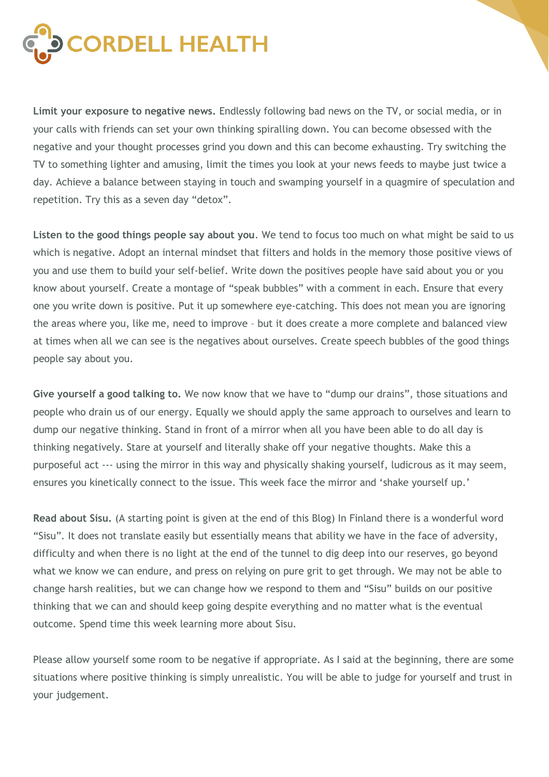

**Limit your exposure to negative news.** Endlessly following bad news on the TV, or social media, or in your calls with friends can set your own thinking spiralling down. You can become obsessed with the negative and your thought processes grind you down and this can become exhausting. Try switching the TV to something lighter and amusing, limit the times you look at your news feeds to maybe just twice a day. Achieve a balance between staying in touch and swamping yourself in a quagmire of speculation and repetition. Try this as a seven day "detox".

**Listen to the good things people say about you**. We tend to focus too much on what might be said to us which is negative. Adopt an internal mindset that filters and holds in the memory those positive views of you and use them to build your self-belief. Write down the positives people have said about you or you know about yourself. Create a montage of "speak bubbles" with a comment in each. Ensure that every one you write down is positive. Put it up somewhere eye-catching. This does not mean you are ignoring the areas where you, like me, need to improve – but it does create a more complete and balanced view at times when all we can see is the negatives about ourselves. Create speech bubbles of the good things people say about you.

**Give yourself a good talking to.** We now know that we have to "dump our drains", those situations and people who drain us of our energy. Equally we should apply the same approach to ourselves and learn to dump our negative thinking. Stand in front of a mirror when all you have been able to do all day is thinking negatively. Stare at yourself and literally shake off your negative thoughts. Make this a purposeful act --- using the mirror in this way and physically shaking yourself, ludicrous as it may seem, ensures you kinetically connect to the issue. This week face the mirror and 'shake yourself up.'

**Read about Sisu.** (A starting point is given at the end of this Blog) In Finland there is a wonderful word "Sisu". It does not translate easily but essentially means that ability we have in the face of adversity, difficulty and when there is no light at the end of the tunnel to dig deep into our reserves, go beyond what we know we can endure, and press on relying on pure grit to get through. We may not be able to change harsh realities, but we can change how we respond to them and "Sisu" builds on our positive thinking that we can and should keep going despite everything and no matter what is the eventual outcome. Spend time this week learning more about Sisu.

Please allow yourself some room to be negative if appropriate. As I said at the beginning, there are some situations where positive thinking is simply unrealistic. You will be able to judge for yourself and trust in your judgement.